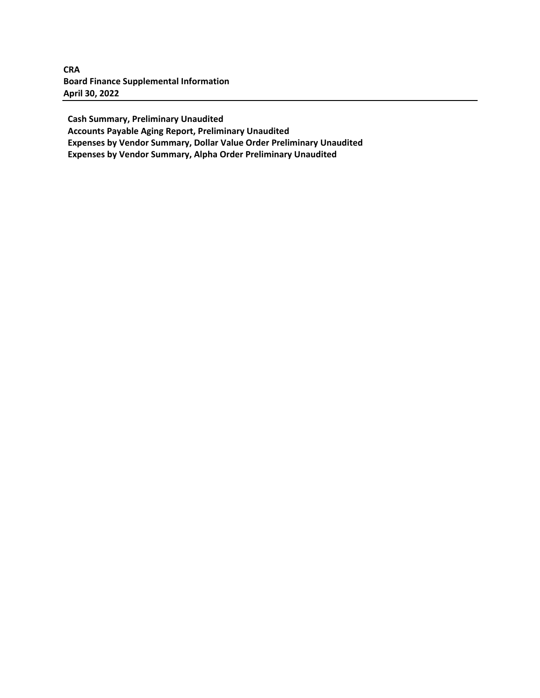**CRA Board Finance Supplemental Information April 30, 2022**

 **Cash Summary, Preliminary Unaudited**

 **Accounts Payable Aging Report, Preliminary Unaudited**

 **Expenses by Vendor Summary, Dollar Value Order Preliminary Unaudited**

 **Expenses by Vendor Summary, Alpha Order Preliminary Unaudited**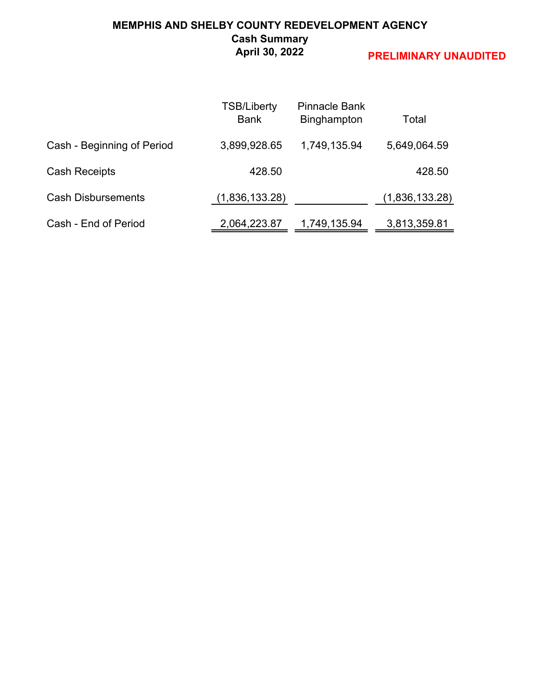### **MEMPHIS AND SHELBY COUNTY REDEVELOPMENT AGENCY Cash Summary April 30, 2022**

|                            | <b>TSB/Liberty</b><br><b>Bank</b> | <b>Pinnacle Bank</b><br>Binghampton | Total          |
|----------------------------|-----------------------------------|-------------------------------------|----------------|
| Cash - Beginning of Period | 3,899,928.65                      | 1,749,135.94                        | 5,649,064.59   |
| <b>Cash Receipts</b>       | 428.50                            |                                     | 428.50         |
| <b>Cash Disbursements</b>  | (1,836,133.28)                    |                                     | (1,836,133.28) |
| Cash - End of Period       | 2,064,223.87                      | 1,749,135.94                        | 3,813,359.81   |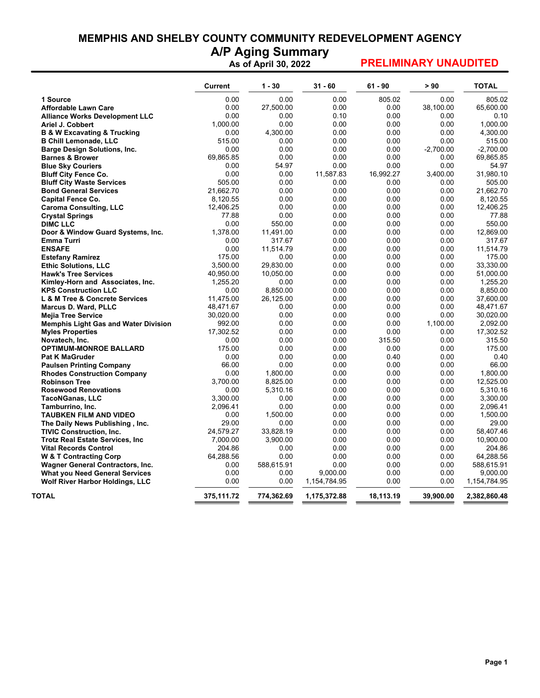# **MEMPHIS AND SHELBY COUNTY COMMUNITY REDEVELOPMENT AGENCY**

**A/P Aging Summary As of April 30, 2022**

|                                             | <b>Current</b> | $1 - 30$   | $31 - 60$    | $61 - 90$ | > 90        | <b>TOTAL</b> |
|---------------------------------------------|----------------|------------|--------------|-----------|-------------|--------------|
| 1 Source                                    | 0.00           | 0.00       | 0.00         | 805.02    | 0.00        | 805.02       |
| Affordable Lawn Care                        | 0.00           | 27,500.00  | 0.00         | 0.00      | 38.100.00   | 65.600.00    |
| <b>Alliance Works Development LLC</b>       | 0.00           | 0.00       | 0.10         | 0.00      | 0.00        | 0.10         |
| Ariel J. Cobbert                            | 1,000.00       | 0.00       | 0.00         | 0.00      | 0.00        | 1,000.00     |
| <b>B &amp; W Excavating &amp; Trucking</b>  | 0.00           | 4,300.00   | 0.00         | 0.00      | 0.00        | 4,300.00     |
| <b>B Chill Lemonade, LLC</b>                | 515.00         | 0.00       | 0.00         | 0.00      | 0.00        | 515.00       |
| <b>Barge Design Solutions, Inc.</b>         | 0.00           | 0.00       | 0.00         | 0.00      | $-2,700.00$ | $-2,700.00$  |
| <b>Barnes &amp; Brower</b>                  | 69,865.85      | 0.00       | 0.00         | 0.00      | 0.00        | 69,865.85    |
| <b>Blue Sky Couriers</b>                    | 0.00           | 54.97      | 0.00         | 0.00      | 0.00        | 54.97        |
| <b>Bluff City Fence Co.</b>                 | 0.00           | 0.00       | 11,587.83    | 16,992.27 | 3,400.00    | 31,980.10    |
| <b>Bluff City Waste Services</b>            | 505.00         | 0.00       | 0.00         | 0.00      | 0.00        | 505.00       |
| <b>Bond General Services</b>                | 21,662.70      | 0.00       | 0.00         | 0.00      | 0.00        | 21,662.70    |
| <b>Capital Fence Co.</b>                    | 8,120.55       | 0.00       | 0.00         | 0.00      | 0.00        | 8,120.55     |
| <b>Caroma Consulting, LLC</b>               | 12,406.25      | 0.00       | 0.00         | 0.00      | 0.00        | 12.406.25    |
| <b>Crystal Springs</b>                      | 77.88          | 0.00       | 0.00         | 0.00      | 0.00        | 77.88        |
| <b>DIMC LLC</b>                             | 0.00           | 550.00     | 0.00         | 0.00      | 0.00        | 550.00       |
| Door & Window Guard Systems, Inc.           | 1,378.00       | 11,491.00  | 0.00         | 0.00      | 0.00        | 12,869.00    |
| Emma Turri                                  | 0.00           | 317.67     | 0.00         | 0.00      | 0.00        | 317.67       |
| <b>ENSAFE</b>                               | 0.00           | 11,514.79  | 0.00         | 0.00      | 0.00        | 11,514.79    |
| <b>Estefany Ramirez</b>                     | 175.00         | 0.00       | 0.00         | 0.00      | 0.00        | 175.00       |
| <b>Ethic Solutions, LLC</b>                 | 3,500.00       | 29,830.00  | 0.00         | 0.00      | 0.00        | 33,330.00    |
| <b>Hawk's Tree Services</b>                 | 40,950.00      | 10,050.00  | 0.00         | 0.00      | 0.00        | 51,000.00    |
| Kimley-Horn and Associates, Inc.            | 1.255.20       | 0.00       | 0.00         | 0.00      | 0.00        | 1.255.20     |
| <b>KPS Construction LLC</b>                 | 0.00           | 8,850.00   | 0.00         | 0.00      | 0.00        | 8,850.00     |
| L & M Tree & Concrete Services              | 11,475.00      | 26,125.00  | 0.00         | 0.00      | 0.00        | 37,600.00    |
| <b>Marcus D. Ward, PLLC</b>                 | 48,471.67      | 0.00       | 0.00         | 0.00      | 0.00        | 48,471.67    |
| <b>Mejia Tree Service</b>                   | 30,020.00      | 0.00       | 0.00         | 0.00      | 0.00        | 30,020.00    |
| <b>Memphis Light Gas and Water Division</b> | 992.00         | 0.00       | 0.00         | 0.00      | 1,100.00    | 2,092.00     |
| <b>Myles Properties</b>                     | 17,302.52      | 0.00       | 0.00         | 0.00      | 0.00        | 17,302.52    |
| Novatech, Inc.                              | 0.00           | 0.00       | 0.00         | 315.50    | 0.00        | 315.50       |
| <b>OPTIMUM-MONROE BALLARD</b>               | 175.00         | 0.00       | 0.00         | 0.00      | 0.00        | 175.00       |
| <b>Pat K MaGruder</b>                       | 0.00           | 0.00       | 0.00         | 0.40      | 0.00        | 0.40         |
| <b>Paulsen Printing Company</b>             | 66.00          | 0.00       | 0.00         | 0.00      | 0.00        | 66.00        |
| <b>Rhodes Construction Company</b>          | 0.00           | 1,800.00   | 0.00         | 0.00      | 0.00        | 1,800.00     |
| <b>Robinson Tree</b>                        | 3,700.00       | 8,825.00   | 0.00         | 0.00      | 0.00        | 12,525.00    |
| <b>Rosewood Renovations</b>                 | 0.00           | 5,310.16   | 0.00         | 0.00      | 0.00        | 5.310.16     |
| <b>TacoNGanas, LLC</b>                      | 3,300.00       | 0.00       | 0.00         | 0.00      | 0.00        | 3,300.00     |
| Tamburrino, Inc.                            | 2,096.41       | 0.00       | 0.00         | 0.00      | 0.00        | 2,096.41     |
| <b>TAUBKEN FILM AND VIDEO</b>               | 0.00           | 1,500.00   | 0.00         | 0.00      | 0.00        | 1,500.00     |
| The Daily News Publishing, Inc.             | 29.00          | 0.00       | 0.00         | 0.00      | 0.00        | 29.00        |
| <b>TIVIC Construction, Inc.</b>             | 24.579.27      | 33,828.19  | 0.00         | 0.00      | 0.00        | 58.407.46    |
| <b>Trotz Real Estate Services, Inc.</b>     | 7,000.00       | 3,900.00   | 0.00         | 0.00      | 0.00        | 10,900.00    |
| <b>Vital Records Control</b>                | 204.86         | 0.00       | 0.00         | 0.00      | 0.00        | 204.86       |
| <b>W &amp; T Contracting Corp</b>           | 64,288.56      | 0.00       | 0.00         | 0.00      | 0.00        | 64,288.56    |
| <b>Wagner General Contractors, Inc.</b>     | 0.00           | 588,615.91 | 0.00         | 0.00      | 0.00        | 588,615.91   |
| <b>What you Need General Services</b>       | 0.00           | 0.00       | 9,000.00     | 0.00      | 0.00        | 9,000.00     |
| <b>Wolf River Harbor Holdings, LLC</b>      | 0.00           | 0.00       | 1,154,784.95 | 0.00      | 0.00        | 1,154,784.95 |
| TOTAL                                       | 375,111.72     | 774,362.69 | 1,175,372.88 | 18,113.19 | 39,900.00   | 2,382,860.48 |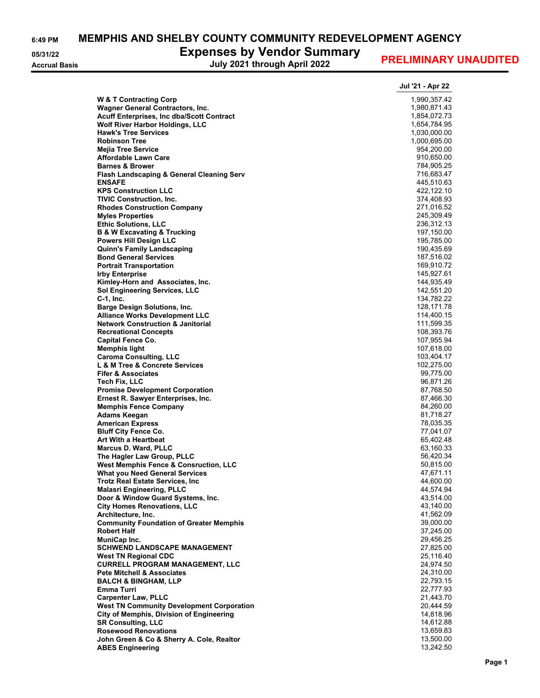**6:49 PM MEMPHIS AND SHELBY COUNTY COMMUNITY REDEVELOPMENT AGENCY**

#### **05/31/22 Expenses by Vendor Summary**

**Accrual Basis July 2021 through April 2022**

|                                                                                       | Jul '21 - Apr 22         |
|---------------------------------------------------------------------------------------|--------------------------|
| <b>W &amp; T Contracting Corp</b>                                                     | 1,990,357.42             |
| <b>Wagner General Contractors, Inc.</b>                                               | 1,980,871.43             |
| <b>Acuff Enterprises, Inc dba/Scott Contract</b>                                      | 1,854,072.73             |
| <b>Wolf River Harbor Holdings, LLC</b>                                                | 1,654,784.95             |
| <b>Hawk's Tree Services</b>                                                           | 1,030,000.00             |
| <b>Robinson Tree</b>                                                                  | 1,000,695.00             |
| <b>Mejia Tree Service</b><br><b>Affordable Lawn Care</b>                              | 954,200.00<br>910,650.00 |
| <b>Barnes &amp; Brower</b>                                                            | 784,905.25               |
| Flash Landscaping & General Cleaning Serv                                             | 716,683.47               |
| <b>ENSAFE</b>                                                                         | 445,510.63               |
| <b>KPS Construction LLC</b>                                                           | 422,122.10               |
| <b>TIVIC Construction, Inc.</b>                                                       | 374,408.93               |
| <b>Rhodes Construction Company</b>                                                    | 271,016.52               |
| <b>Myles Properties</b>                                                               | 245,309.49               |
| <b>Ethic Solutions, LLC</b>                                                           | 236,312.13               |
| <b>B &amp; W Excavating &amp; Trucking</b><br><b>Powers Hill Design LLC</b>           | 197,150.00<br>195,785.00 |
| <b>Quinn's Family Landscaping</b>                                                     | 190,435.69               |
| <b>Bond General Services</b>                                                          | 187,516.02               |
| <b>Portrait Transportation</b>                                                        | 169.910.72               |
| <b>Irby Enterprise</b>                                                                | 145,927.61               |
| Kimley-Horn and Associates, Inc.                                                      | 144,935.49               |
| <b>Sol Engineering Services, LLC</b>                                                  | 142,551.20               |
| C-1, Inc.                                                                             | 134,782.22               |
| <b>Barge Design Solutions, Inc.</b>                                                   | 128,171.78               |
| <b>Alliance Works Development LLC</b><br><b>Network Construction &amp; Janitorial</b> | 114,400.15<br>111,599.35 |
| <b>Recreational Concepts</b>                                                          | 108,393.76               |
| <b>Capital Fence Co.</b>                                                              | 107,955.94               |
| Memphis light                                                                         | 107,618.00               |
| <b>Caroma Consulting, LLC</b>                                                         | 103,404.17               |
| L & M Tree & Concrete Services                                                        | 102,275.00               |
| <b>Fifer &amp; Associates</b>                                                         | 99,775.00                |
| Tech Fix, LLC                                                                         | 96,871.26                |
| <b>Promise Development Corporation</b>                                                | 87,768.50                |
| Ernest R. Sawyer Enterprises, Inc.<br><b>Memphis Fence Company</b>                    | 87,466.30<br>84,260.00   |
| Adams Keegan                                                                          | 81,718.27                |
| <b>American Express</b>                                                               | 78,035.35                |
| <b>Bluff City Fence Co.</b>                                                           | 77,041.07                |
| <b>Art With a Heartbeat</b>                                                           | 65,402.48                |
| <b>Marcus D. Ward, PLLC</b>                                                           | 63,160.33                |
| The Hagler Law Group, PLLC                                                            | 56,420.34                |
| <b>West Memphis Fence &amp; Consruction, LLC</b>                                      | 50,815.00                |
| <b>What you Need General Services</b><br><b>Trotz Real Estate Services, Inc.</b>      | 47,671.11<br>44,600.00   |
| <b>Malasri Engineering, PLLC</b>                                                      | 44,574.94                |
| Door & Window Guard Systems, Inc.                                                     | 43,514.00                |
| <b>City Homes Renovations, LLC</b>                                                    | 43,140.00                |
| Architecture, Inc.                                                                    | 41,562.09                |
| <b>Community Foundation of Greater Memphis</b>                                        | 39,000.00                |
| <b>Robert Half</b>                                                                    | 37,245.00                |
| MuniCap Inc.                                                                          | 29,456.25                |
| <b>SCHWEND LANDSCAPE MANAGEMENT</b>                                                   | 27,825.00                |
| <b>West TN Regional CDC</b><br><b>CURRELL PROGRAM MANAGEMENT, LLC</b>                 | 25,116.40<br>24,974.50   |
| <b>Pete Mitchell &amp; Associates</b>                                                 | 24,310.00                |
| <b>BALCH &amp; BINGHAM, LLP</b>                                                       | 22,793.15                |
| Emma Turri                                                                            | 22,777.93                |
| <b>Carpenter Law, PLLC</b>                                                            | 21,443.70                |
| <b>West TN Community Development Corporation</b>                                      | 20,444.59                |
| City of Memphis, Division of Engineering                                              | 14,818.96                |
| <b>SR Consulting, LLC</b>                                                             | 14,612.88                |
| <b>Rosewood Renovations</b>                                                           | 13,659.83                |
| John Green & Co & Sherry A. Cole, Realtor<br><b>ABES Engineering</b>                  | 13,500.00<br>13,242.50   |
|                                                                                       |                          |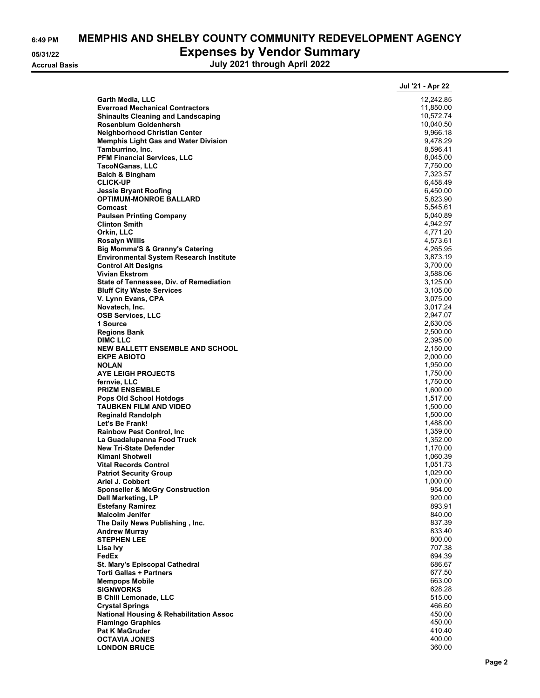|--|

# **6:49 PM MEMPHIS AND SHELBY COUNTY COMMUNITY REDEVELOPMENT AGENCY 05/31/22 Expenses by Vendor Summary**

**Accrual Basis July 2021 through April 2022**

|                                                                             | Jul '21 - Apr 22     |
|-----------------------------------------------------------------------------|----------------------|
| Garth Media, LLC                                                            | 12,242.85            |
| <b>Everroad Mechanical Contractors</b>                                      | 11,850.00            |
| <b>Shinaults Cleaning and Landscaping</b>                                   | 10,572.74            |
| Rosenblum Goldenhersh                                                       | 10,040.50            |
| Neighborhood Christian Center                                               | 9,966.18             |
| <b>Memphis Light Gas and Water Division</b>                                 | 9,478.29             |
| Tamburrino, Inc.<br><b>PFM Financial Services, LLC</b>                      | 8,596.41<br>8,045.00 |
| <b>TacoNGanas, LLC</b>                                                      | 7,750.00             |
| <b>Balch &amp; Bingham</b>                                                  | 7,323.57             |
| <b>CLICK-UP</b>                                                             | 6,458.49             |
| Jessie Bryant Roofing                                                       | 6,450.00             |
| <b>OPTIMUM-MONROE BALLARD</b>                                               | 5,823.90             |
| Comcast                                                                     | 5,545.61             |
| <b>Paulsen Printing Company</b><br><b>Clinton Smith</b>                     | 5,040.89<br>4,942.97 |
| Orkin, LLC                                                                  | 4,771.20             |
| <b>Rosalyn Willis</b>                                                       | 4,573.61             |
| <b>Big Momma'S &amp; Granny's Catering</b>                                  | 4,265.95             |
| <b>Environmental System Research Institute</b>                              | 3,873.19             |
| <b>Control Alt Designs</b>                                                  | 3,700.00             |
| <b>Vivian Ekstrom</b>                                                       | 3,588.06             |
| State of Tennessee, Div. of Remediation<br><b>Bluff City Waste Services</b> | 3,125.00             |
| V. Lynn Evans, CPA                                                          | 3,105.00<br>3,075.00 |
| Novatech, Inc.                                                              | 3,017.24             |
| <b>OSB Services, LLC</b>                                                    | 2,947.07             |
| 1 Source                                                                    | 2,630.05             |
| <b>Regions Bank</b>                                                         | 2,500.00             |
| <b>DIMC LLC</b>                                                             | 2,395.00             |
| <b>NEW BALLETT ENSEMBLE AND SCHOOL</b>                                      | 2,150.00             |
| <b>EKPE ABIOTO</b><br><b>NOLAN</b>                                          | 2,000.00<br>1,950.00 |
| <b>AYE LEIGH PROJECTS</b>                                                   | 1,750.00             |
| fernvie, LLC                                                                | 1,750.00             |
| <b>PRIZM ENSEMBLE</b>                                                       | 1,600.00             |
| Pops Old School Hotdogs                                                     | 1,517.00             |
| <b>TAUBKEN FILM AND VIDEO</b><br><b>Reginald Randolph</b>                   | 1,500.00<br>1,500.00 |
| Let's Be Frank!                                                             | 1,488.00             |
| <b>Rainbow Pest Control, Inc</b>                                            | 1,359.00             |
| La Guadalupanna Food Truck                                                  | 1,352.00             |
| <b>New Tri-State Defender</b>                                               | 1,170.00             |
| <b>Kimani Shotwell</b>                                                      | 1,060.39             |
| <b>Vital Records Control</b><br><b>Patriot Security Group</b>               | 1,051.73<br>1,029.00 |
| Ariel J. Cobbert                                                            | 1,000.00             |
| <b>Sponseller &amp; McGry Construction</b>                                  | 954.00               |
| <b>Dell Marketing, LP</b>                                                   | 920.00               |
| <b>Estefany Ramirez</b>                                                     | 893.91               |
| <b>Malcolm Jenifer</b>                                                      | 840.00               |
| The Daily News Publishing, Inc.                                             | 837.39               |
| <b>Andrew Murray</b><br><b>STEPHEN LEE</b>                                  | 833.40<br>800.00     |
| Lisa Ivy                                                                    | 707.38               |
| FedEx                                                                       | 694.39               |
| St. Mary's Episcopal Cathedral                                              | 686.67               |
| <b>Torti Gallas + Partners</b>                                              | 677.50               |
| <b>Mempops Mobile</b>                                                       | 663.00               |
| <b>SIGNWORKS</b><br><b>B Chill Lemonade, LLC</b>                            | 628.28<br>515.00     |
| <b>Crystal Springs</b>                                                      | 466.60               |
| <b>National Housing &amp; Rehabilitation Assoc</b>                          | 450.00               |
| <b>Flamingo Graphics</b>                                                    | 450.00               |
| <b>Pat K MaGruder</b>                                                       | 410.40               |
| <b>OCTAVIA JONES</b>                                                        | 400.00               |
| <b>LONDON BRUCE</b>                                                         | 360.00               |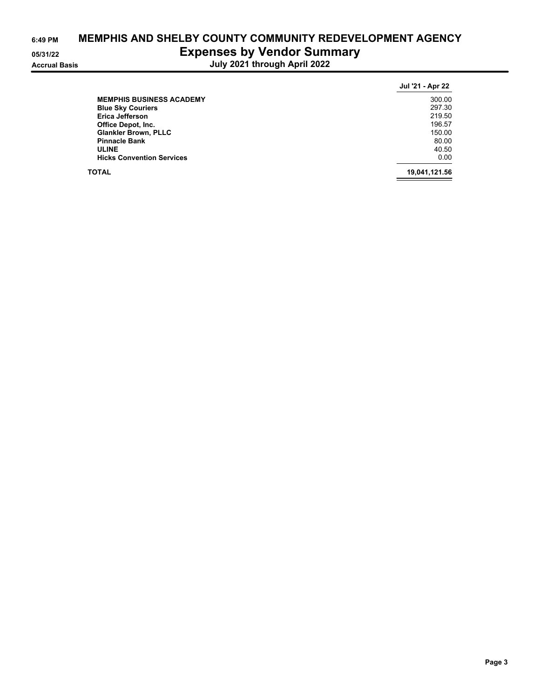| 6:49 PM              | <b>MEMPHIS AND SHELBY COUNTY COMMUNITY REDEVE</b> |
|----------------------|---------------------------------------------------|
| 05/31/22             | <b>Expenses by Vendor Summary</b>                 |
| <b>Accrual Basis</b> | July 2021 through April 2022                      |

| SHELBY COUNTY COMMUNITY REDEVELOPMENT AGENCY<br><b>Expenses by Vendor Summary</b> |                  |
|-----------------------------------------------------------------------------------|------------------|
| July 2021 through April 2022                                                      |                  |
|                                                                                   | Jul '21 - Apr 22 |

|                                  | Jul '21 - Apr 22 |
|----------------------------------|------------------|
| <b>MEMPHIS BUSINESS ACADEMY</b>  | 300.00           |
| <b>Blue Sky Couriers</b>         | 297.30           |
| <b>Erica Jefferson</b>           | 219.50           |
| Office Depot, Inc.               | 196.57           |
| <b>Glankler Brown, PLLC</b>      | 150.00           |
| <b>Pinnacle Bank</b>             | 80.00            |
| <b>ULINE</b>                     | 40.50            |
| <b>Hicks Convention Services</b> | 0.00             |
| <b>TOTAL</b>                     | 19,041,121.56    |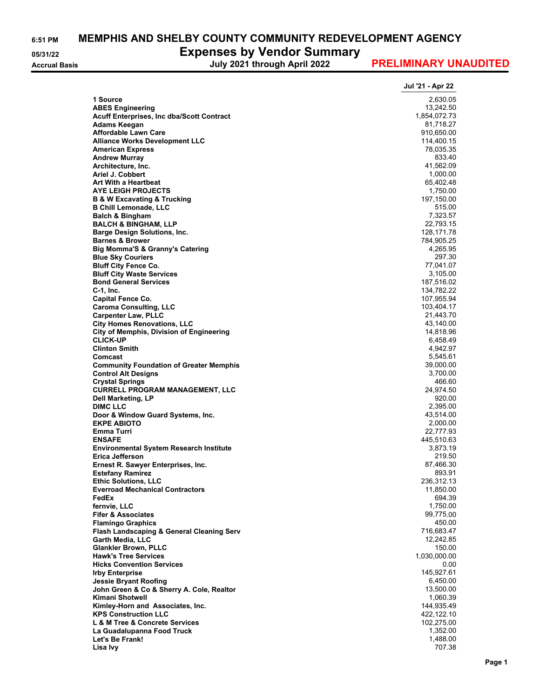**6:51 PM MEMPHIS AND SHELBY COUNTY COMMUNITY REDEVELOPMENT AGENCY**

**05/31/22 Expenses by Vendor Summary**

**Accrual Basis July 2021 through April 2022**

|                                                             | Jul '21 - Apr 22        |
|-------------------------------------------------------------|-------------------------|
| 1 Source                                                    | 2,630.05                |
| <b>ABES Engineering</b>                                     | 13,242.50               |
| Acuff Enterprises, Inc dba/Scott Contract                   | 1,854,072.73            |
| Adams Keegan                                                | 81,718.27               |
| <b>Affordable Lawn Care</b>                                 | 910,650.00              |
| <b>Alliance Works Development LLC</b>                       | 114,400.15              |
| <b>American Express</b>                                     | 78,035.35               |
| <b>Andrew Murray</b>                                        | 833.40                  |
| Architecture, Inc.                                          | 41,562.09               |
| Ariel J. Cobbert                                            | 1,000.00                |
| Art With a Heartbeat<br><b>AYE LEIGH PROJECTS</b>           | 65,402.48               |
| <b>B &amp; W Excavating &amp; Trucking</b>                  | 1,750.00<br>197,150.00  |
| <b>B Chill Lemonade, LLC</b>                                | 515.00                  |
| <b>Balch &amp; Bingham</b>                                  | 7,323.57                |
| <b>BALCH &amp; BINGHAM, LLP</b>                             | 22,793.15               |
| <b>Barge Design Solutions, Inc.</b>                         | 128, 171.78             |
| <b>Barnes &amp; Brower</b>                                  | 784,905.25              |
| <b>Big Momma'S &amp; Granny's Catering</b>                  | 4,265.95                |
| <b>Blue Sky Couriers</b>                                    | 297.30                  |
| <b>Bluff City Fence Co.</b>                                 | 77,041.07               |
| <b>Bluff City Waste Services</b>                            | 3,105.00                |
| <b>Bond General Services</b>                                | 187,516.02              |
| $C-1$ , Inc.                                                | 134,782.22              |
| <b>Capital Fence Co.</b>                                    | 107,955.94              |
| <b>Caroma Consulting, LLC</b><br><b>Carpenter Law, PLLC</b> | 103,404.17<br>21,443.70 |
| <b>City Homes Renovations, LLC</b>                          | 43,140.00               |
| <b>City of Memphis, Division of Engineering</b>             | 14,818.96               |
| <b>CLICK-UP</b>                                             | 6,458.49                |
| <b>Clinton Smith</b>                                        | 4,942.97                |
| Comcast                                                     | 5,545.61                |
| <b>Community Foundation of Greater Memphis</b>              | 39,000.00               |
| <b>Control Alt Designs</b>                                  | 3,700.00                |
| <b>Crystal Springs</b>                                      | 466.60                  |
| <b>CURRELL PROGRAM MANAGEMENT, LLC</b>                      | 24,974.50               |
| Dell Marketing, LP                                          | 920.00                  |
| <b>DIMC LLC</b><br>Door & Window Guard Systems, Inc.        | 2,395.00<br>43,514.00   |
| <b>EKPE ABIOTO</b>                                          | 2,000.00                |
| <b>Emma Turri</b>                                           | 22,777.93               |
| <b>ENSAFE</b>                                               | 445,510.63              |
| <b>Environmental System Research Institute</b>              | 3,873.19                |
| Erica Jefferson                                             | 219.50                  |
| Ernest R. Sawyer Enterprises, Inc.                          | 87,466.30               |
| <b>Estefany Ramirez</b>                                     | 893.91                  |
| <b>Ethic Solutions, LLC</b>                                 | 236,312.13              |
| <b>Everroad Mechanical Contractors</b>                      | 11,850.00               |
| FedEx<br>fernvie, LLC                                       | 694.39<br>1,750.00      |
| <b>Fifer &amp; Associates</b>                               | 99,775.00               |
| <b>Flamingo Graphics</b>                                    | 450.00                  |
| Flash Landscaping & General Cleaning Serv                   | 716,683.47              |
| Garth Media, LLC                                            | 12,242.85               |
| <b>Glankler Brown, PLLC</b>                                 | 150.00                  |
| <b>Hawk's Tree Services</b>                                 | 1,030,000.00            |
| <b>Hicks Convention Services</b>                            | 0.00                    |
| <b>Irby Enterprise</b>                                      | 145,927.61              |
| <b>Jessie Bryant Roofing</b>                                | 6,450.00                |
| John Green & Co & Sherry A. Cole, Realtor                   | 13,500.00               |
| Kimani Shotwell<br>Kimley-Horn and Associates, Inc.         | 1,060.39<br>144,935.49  |
| <b>KPS Construction LLC</b>                                 | 422,122.10              |
| L & M Tree & Concrete Services                              | 102,275.00              |
| La Guadalupanna Food Truck                                  | 1,352.00                |
| Let's Be Frank!                                             | 1,488.00                |
| Lisa Ivy                                                    | 707.38                  |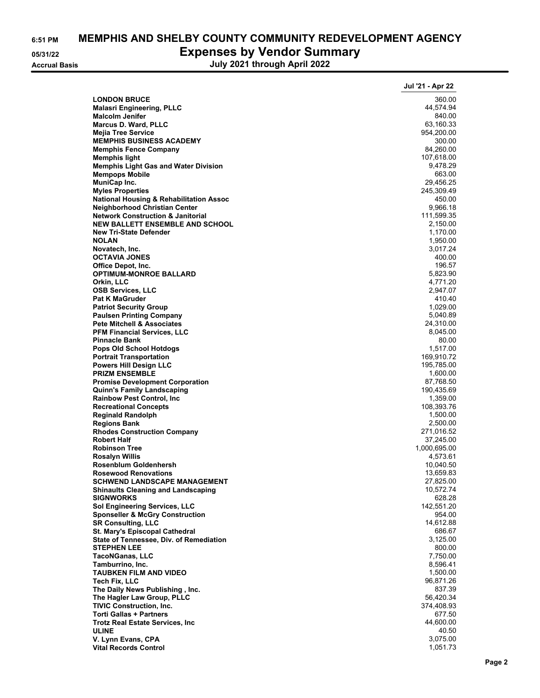# **6:51 PM MEMPHIS AND SHELBY COUNTY COMMUNITY REDEVELOPMENT AGENCY 05/31/22 Expenses by Vendor Summary**

**Accrual Basis July 2021 through April 2022**

|                                                                               | Jul '21 - Apr 22         |
|-------------------------------------------------------------------------------|--------------------------|
| <b>LONDON BRUCE</b>                                                           | 360.00                   |
| <b>Malasri Engineering, PLLC</b>                                              | 44,574.94                |
| <b>Malcolm Jenifer</b>                                                        | 840.00                   |
| <b>Marcus D. Ward, PLLC</b>                                                   | 63,160.33<br>954,200.00  |
| <b>Mejia Tree Service</b><br><b>MEMPHIS BUSINESS ACADEMY</b>                  | 300.00                   |
| <b>Memphis Fence Company</b>                                                  | 84,260.00                |
| <b>Memphis light</b>                                                          | 107,618.00               |
| <b>Memphis Light Gas and Water Division</b>                                   | 9,478.29                 |
| <b>Mempops Mobile</b>                                                         | 663.00                   |
| MuniCap Inc.                                                                  | 29,456.25                |
| <b>Myles Properties</b><br><b>National Housing &amp; Rehabilitation Assoc</b> | 245,309.49<br>450.00     |
| <b>Neighborhood Christian Center</b>                                          | 9,966.18                 |
| <b>Network Construction &amp; Janitorial</b>                                  | 111,599.35               |
| <b>NEW BALLETT ENSEMBLE AND SCHOOL</b>                                        | 2,150.00                 |
| <b>New Tri-State Defender</b>                                                 | 1,170.00                 |
| <b>NOLAN</b>                                                                  | 1,950.00                 |
| Novatech, Inc.<br><b>OCTAVIA JONES</b>                                        | 3,017.24<br>400.00       |
| Office Depot, Inc.                                                            | 196.57                   |
| <b>OPTIMUM-MONROE BALLARD</b>                                                 | 5,823.90                 |
| Orkin, LLC                                                                    | 4,771.20                 |
| <b>OSB Services, LLC</b>                                                      | 2,947.07                 |
| <b>Pat K MaGruder</b>                                                         | 410.40                   |
| <b>Patriot Security Group</b><br><b>Paulsen Printing Company</b>              | 1,029.00<br>5,040.89     |
| <b>Pete Mitchell &amp; Associates</b>                                         | 24,310.00                |
| <b>PFM Financial Services, LLC</b>                                            | 8,045.00                 |
| <b>Pinnacle Bank</b>                                                          | 80.00                    |
| <b>Pops Old School Hotdogs</b>                                                | 1,517.00                 |
| <b>Portrait Transportation</b><br><b>Powers Hill Design LLC</b>               | 169,910.72<br>195,785.00 |
| <b>PRIZM ENSEMBLE</b>                                                         | 1,600.00                 |
| <b>Promise Development Corporation</b>                                        | 87,768.50                |
| <b>Quinn's Family Landscaping</b>                                             | 190,435.69               |
| <b>Rainbow Pest Control, Inc.</b>                                             | 1,359.00                 |
| <b>Recreational Concepts</b>                                                  | 108,393.76               |
| <b>Reginald Randolph</b><br><b>Regions Bank</b>                               | 1,500.00<br>2,500.00     |
| <b>Rhodes Construction Company</b>                                            | 271,016.52               |
| <b>Robert Half</b>                                                            | 37,245.00                |
| <b>Robinson Tree</b>                                                          | 1,000,695.00             |
| <b>Rosalyn Willis</b>                                                         | 4,573.61                 |
| Rosenblum Goldenhersh<br><b>Rosewood Renovations</b>                          | 10,040.50<br>13,659.83   |
| <b>SCHWEND LANDSCAPE MANAGEMENT</b>                                           | 27,825.00                |
| <b>Shinaults Cleaning and Landscaping</b>                                     | 10,572.74                |
| <b>SIGNWORKS</b>                                                              | 628.28                   |
| <b>Sol Engineering Services, LLC</b>                                          | 142,551.20               |
| <b>Sponseller &amp; McGry Construction</b><br><b>SR Consulting, LLC</b>       | 954.00                   |
| St. Mary's Episcopal Cathedral                                                | 14,612.88<br>686.67      |
| State of Tennessee, Div. of Remediation                                       | 3,125.00                 |
| <b>STEPHEN LEE</b>                                                            | 800.00                   |
| <b>TacoNGanas, LLC</b>                                                        | 7,750.00                 |
| Tamburrino, Inc.                                                              | 8,596.41                 |
| <b>TAUBKEN FILM AND VIDEO</b><br><b>Tech Fix, LLC</b>                         | 1,500.00<br>96,871.26    |
| The Daily News Publishing, Inc.                                               | 837.39                   |
| The Hagler Law Group, PLLC                                                    | 56,420.34                |
| <b>TIVIC Construction, Inc.</b>                                               | 374,408.93               |
| <b>Torti Gallas + Partners</b>                                                | 677.50                   |
| <b>Trotz Real Estate Services, Inc.</b><br><b>ULINE</b>                       | 44,600.00<br>40.50       |
| V. Lynn Evans, CPA                                                            | 3,075.00                 |
| <b>Vital Records Control</b>                                                  | 1,051.73                 |